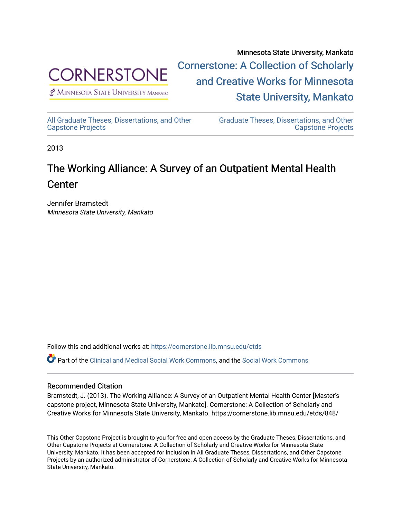

 $<sup>2</sup>$  Minnesota State University Mankato</sup>

Minnesota State University, Mankato [Cornerstone: A Collection of Scholarly](https://cornerstone.lib.mnsu.edu/)  [and Creative Works for Minnesota](https://cornerstone.lib.mnsu.edu/)  [State University, Mankato](https://cornerstone.lib.mnsu.edu/) 

[All Graduate Theses, Dissertations, and Other](https://cornerstone.lib.mnsu.edu/etds)  [Capstone Projects](https://cornerstone.lib.mnsu.edu/etds) 

[Graduate Theses, Dissertations, and Other](https://cornerstone.lib.mnsu.edu/theses_dissertations-capstone)  [Capstone Projects](https://cornerstone.lib.mnsu.edu/theses_dissertations-capstone) 

2013

### The Working Alliance: A Survey of an Outpatient Mental Health **Center**

Jennifer Bramstedt Minnesota State University, Mankato

Follow this and additional works at: [https://cornerstone.lib.mnsu.edu/etds](https://cornerstone.lib.mnsu.edu/etds?utm_source=cornerstone.lib.mnsu.edu%2Fetds%2F848&utm_medium=PDF&utm_campaign=PDFCoverPages) 

Part of the [Clinical and Medical Social Work Commons,](http://network.bepress.com/hgg/discipline/712?utm_source=cornerstone.lib.mnsu.edu%2Fetds%2F848&utm_medium=PDF&utm_campaign=PDFCoverPages) and the [Social Work Commons](http://network.bepress.com/hgg/discipline/713?utm_source=cornerstone.lib.mnsu.edu%2Fetds%2F848&utm_medium=PDF&utm_campaign=PDFCoverPages)

### Recommended Citation

Bramstedt, J. (2013). The Working Alliance: A Survey of an Outpatient Mental Health Center [Master's capstone project, Minnesota State University, Mankato]. Cornerstone: A Collection of Scholarly and Creative Works for Minnesota State University, Mankato. https://cornerstone.lib.mnsu.edu/etds/848/

This Other Capstone Project is brought to you for free and open access by the Graduate Theses, Dissertations, and Other Capstone Projects at Cornerstone: A Collection of Scholarly and Creative Works for Minnesota State University, Mankato. It has been accepted for inclusion in All Graduate Theses, Dissertations, and Other Capstone Projects by an authorized administrator of Cornerstone: A Collection of Scholarly and Creative Works for Minnesota State University, Mankato.